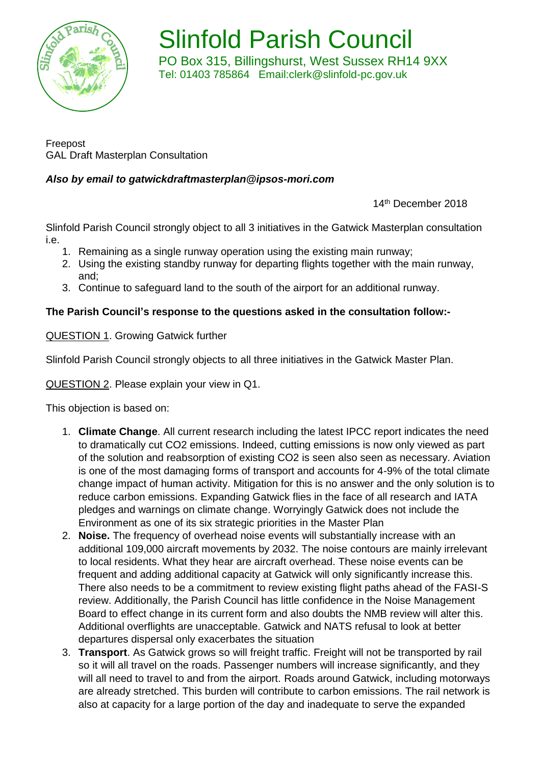

Slinfold Parish Council PO Box 315, Billingshurst, West Sussex RH14 9XX Tel: 01403 785864 Email:clerk@slinfold-pc.gov.uk

Freepost GAL Draft Masterplan Consultation

# *Also by email to [gatwickdraftmasterplan@ipsos-mori.com](mailto:gatwickdraftmasterplan@ipsos-mori.com)*

14th December 2018

Slinfold Parish Council strongly object to all 3 initiatives in the Gatwick Masterplan consultation i.e.

- 1. Remaining as a single runway operation using the existing main runway;
- 2. Using the existing standby runway for departing flights together with the main runway, and;
- 3. Continue to safeguard land to the south of the airport for an additional runway.

## **The Parish Council's response to the questions asked in the consultation follow:-**

QUESTION 1. Growing Gatwick further

Slinfold Parish Council strongly objects to all three initiatives in the Gatwick Master Plan.

QUESTION 2. Please explain your view in Q1.

This objection is based on:

- 1. **Climate Change**. All current research including the latest IPCC report indicates the need to dramatically cut CO2 emissions. Indeed, cutting emissions is now only viewed as part of the solution and reabsorption of existing CO2 is seen also seen as necessary. Aviation is one of the most damaging forms of transport and accounts for 4-9% of the total climate change impact of human activity. Mitigation for this is no answer and the only solution is to reduce carbon emissions. Expanding Gatwick flies in the face of all research and IATA pledges and warnings on climate change. Worryingly Gatwick does not include the Environment as one of its six strategic priorities in the Master Plan
- 2. **Noise.** The frequency of overhead noise events will substantially increase with an additional 109,000 aircraft movements by 2032. The noise contours are mainly irrelevant to local residents. What they hear are aircraft overhead. These noise events can be frequent and adding additional capacity at Gatwick will only significantly increase this. There also needs to be a commitment to review existing flight paths ahead of the FASI-S review. Additionally, the Parish Council has little confidence in the Noise Management Board to effect change in its current form and also doubts the NMB review will alter this. Additional overflights are unacceptable. Gatwick and NATS refusal to look at better departures dispersal only exacerbates the situation
- 3. **Transport**. As Gatwick grows so will freight traffic. Freight will not be transported by rail so it will all travel on the roads. Passenger numbers will increase significantly, and they will all need to travel to and from the airport. Roads around Gatwick, including motorways are already stretched. This burden will contribute to carbon emissions. The rail network is also at capacity for a large portion of the day and inadequate to serve the expanded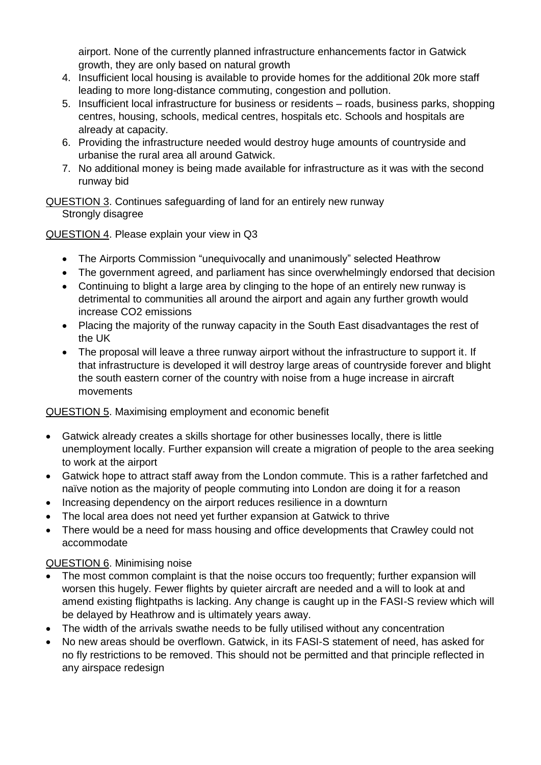airport. None of the currently planned infrastructure enhancements factor in Gatwick growth, they are only based on natural growth

- 4. Insufficient local housing is available to provide homes for the additional 20k more staff leading to more long-distance commuting, congestion and pollution.
- 5. Insufficient local infrastructure for business or residents roads, business parks, shopping centres, housing, schools, medical centres, hospitals etc. Schools and hospitals are already at capacity.
- 6. Providing the infrastructure needed would destroy huge amounts of countryside and urbanise the rural area all around Gatwick.
- 7. No additional money is being made available for infrastructure as it was with the second runway bid

QUESTION 3. Continues safeguarding of land for an entirely new runway Strongly disagree

## QUESTION 4. Please explain your view in Q3

- The Airports Commission "unequivocally and unanimously" selected Heathrow
- The government agreed, and parliament has since overwhelmingly endorsed that decision
- Continuing to blight a large area by clinging to the hope of an entirely new runway is detrimental to communities all around the airport and again any further growth would increase CO2 emissions
- Placing the majority of the runway capacity in the South East disadvantages the rest of the UK
- The proposal will leave a three runway airport without the infrastructure to support it. If that infrastructure is developed it will destroy large areas of countryside forever and blight the south eastern corner of the country with noise from a huge increase in aircraft movements

## QUESTION 5. Maximising employment and economic benefit

- Gatwick already creates a skills shortage for other businesses locally, there is little unemployment locally. Further expansion will create a migration of people to the area seeking to work at the airport
- Gatwick hope to attract staff away from the London commute. This is a rather farfetched and naïve notion as the majority of people commuting into London are doing it for a reason
- Increasing dependency on the airport reduces resilience in a downturn
- The local area does not need yet further expansion at Gatwick to thrive
- There would be a need for mass housing and office developments that Crawley could not accommodate

### QUESTION 6. Minimising noise

- The most common complaint is that the noise occurs too frequently; further expansion will worsen this hugely. Fewer flights by quieter aircraft are needed and a will to look at and amend existing flightpaths is lacking. Any change is caught up in the FASI-S review which will be delayed by Heathrow and is ultimately years away.
- The width of the arrivals swathe needs to be fully utilised without any concentration
- No new areas should be overflown. Gatwick, in its FASI-S statement of need, has asked for no fly restrictions to be removed. This should not be permitted and that principle reflected in any airspace redesign